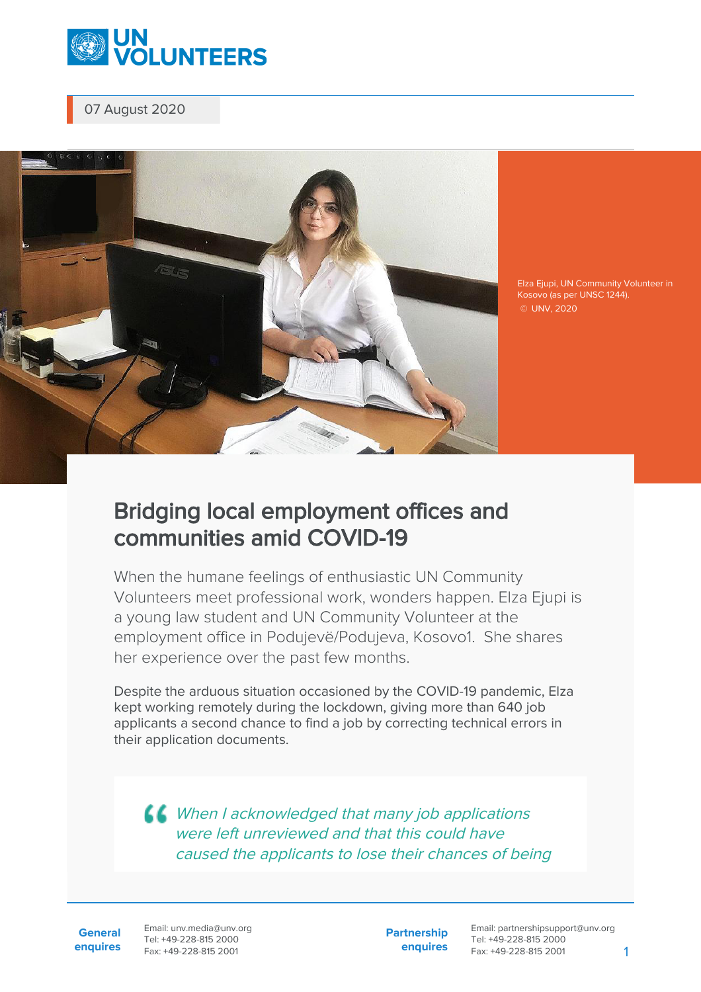

07 August 2020



Elza Ejupi, UN Community Volunteer in Kosovo (as per UNSC 1244). © UNV, 2020

## Bridging local employment offices and communities amid COVID-19

When the humane feelings of enthusiastic UN Community Volunteers meet professional work, wonders happen. Elza Ejupi is a young law student and UN Community Volunteer at the employment office in Podujevë/Podujeva, Kosovo1. She shares her experience over the past few months.

Despite the arduous situation occasioned by the COVID-19 pandemic, Elza kept working remotely during the lockdown, giving more than 640 job applicants a second chance to find a job by correcting technical errors in their application documents.

**LL** When I acknowledged that many job applications were left unreviewed and that this could have caused the applicants to lose their chances of being

**General enquires** Email: unv.media@unv.org Tel: +49-228-815 2000 Fax: +49-228-815 2001

**Partnership enquires**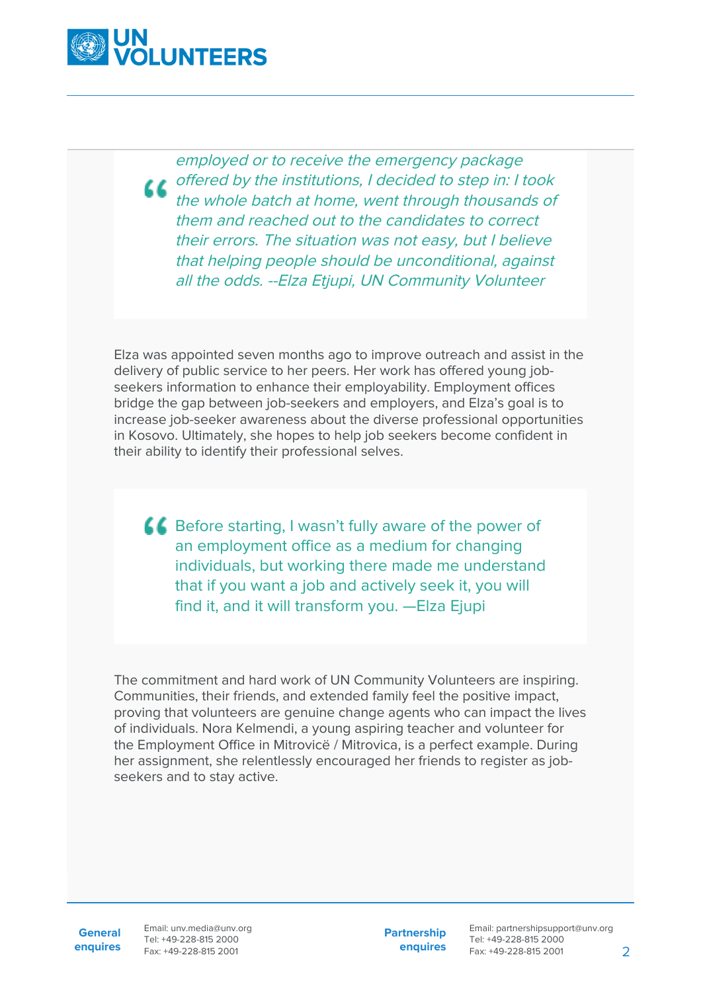

employed or to receive the emergency package offered by the institutions, I decided to step in: I took the whole batch at home, went through thousands of them and reached out to the candidates to correct their errors. The situation was not easy, but I believe that helping people should be unconditional, against all the odds. --Elza Etjupi, UN Community Volunteer

Elza was appointed seven months ago to improve outreach and assist in the delivery of public service to her peers. Her work has offered young jobseekers information to enhance their employability. Employment offices bridge the gap between job-seekers and employers, and Elza's goal is to increase job-seeker awareness about the diverse professional opportunities in Kosovo. Ultimately, she hopes to help job seekers become confident in their ability to identify their professional selves.

**C** Before starting, I wasn't fully aware of the power of an employment office as a medium for changing individuals, but working there made me understand that if you want a job and actively seek it, you will find it, and it will transform you. —Elza Ejupi

The commitment and hard work of UN Community Volunteers are inspiring. Communities, their friends, and extended family feel the positive impact, proving that volunteers are genuine change agents who can impact the lives of individuals. Nora Kelmendi, a young aspiring teacher and volunteer for the Employment Office in Mitrovicë / Mitrovica, is a perfect example. During her assignment, she relentlessly encouraged her friends to register as jobseekers and to stay active.

**General**

**enquires** Fax: +49-228-815 2001 Email: unv.media@unv.org Tel: +49-228-815 2000

**Partnership enquires**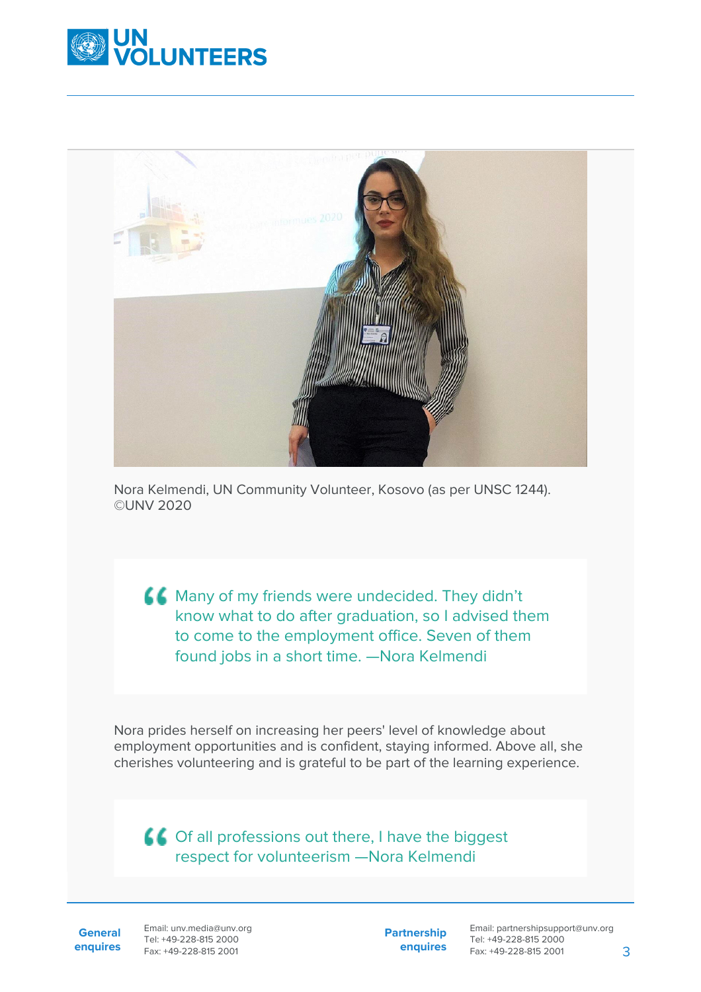



Nora Kelmendi, UN Community Volunteer, Kosovo (as per UNSC 1244). ©UNV 2020

**CC** Many of my friends were undecided. They didn't know what to do after graduation, so I advised them to come to the employment office. Seven of them found jobs in a short time. —Nora Kelmendi

Nora prides herself on increasing her peers' level of knowledge about employment opportunities and is confident, staying informed. Above all, she cherishes volunteering and is grateful to be part of the learning experience.

Of all professions out there, I have the biggest respect for volunteerism —Nora Kelmendi

**General enquires** Email: unv.media@unv.org Tel: +49-228-815 2000 Fax: +49-228-815 2001

**Partnership enquires**